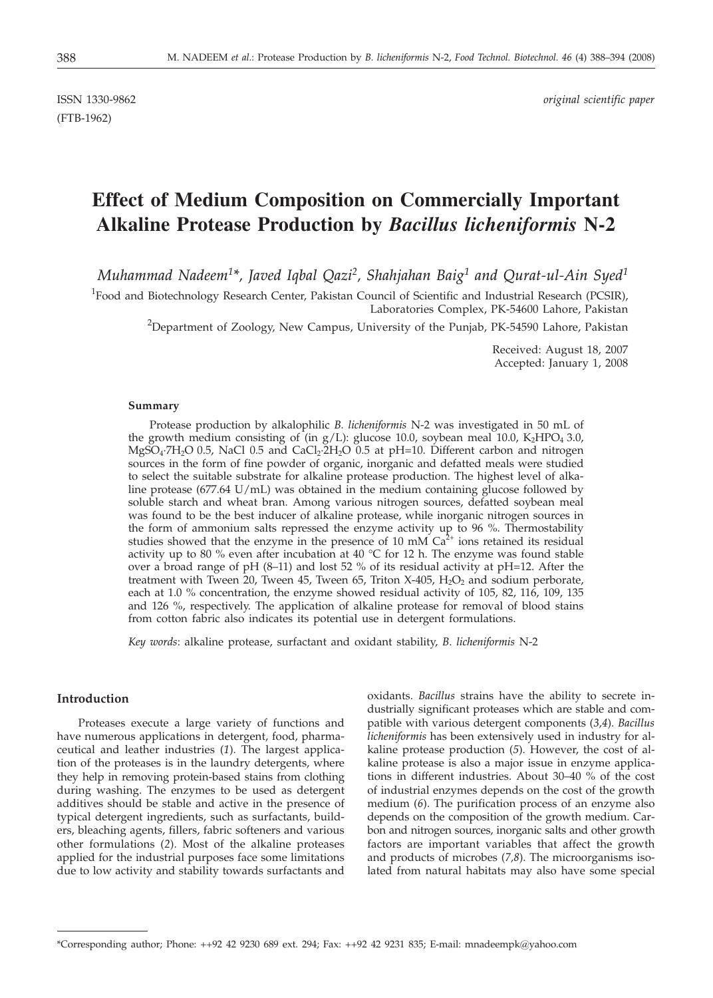(FTB-1962)

ISSN 1330-9862 *original scientific paper*

# **Effect of Medium Composition on Commercially Important Alkaline Protease Production by** *Bacillus licheniformis* **N-2**

*Muhammad Nadeem1\*, Javed Iqbal Qazi2, Shahjahan Baig1 and Qurat-ul-Ain Syed1*

<sup>1</sup>Food and Biotechnology Research Center, Pakistan Council of Scientific and Industrial Research (PCSIR), Laboratories Complex, PK-54600 Lahore, Pakistan

 $^{2}$ Department of Zoology, New Campus, University of the Punjab, PK-54590 Lahore, Pakistan

Received: August 18, 2007 Accepted: January 1, 2008

### **Summary**

Protease production by alkalophilic *B. licheniformis* N-2 was investigated in 50 mL of the growth medium consisting of (in  $g/L$ ): glucose 10.0, soybean meal 10.0, K<sub>2</sub>HPO<sub>4</sub> 3.0,  $MgSO_4$ <sup>-7</sup>H<sub>2</sub>O 0.5, NaCl 0.5 and CaCl<sub>2</sub>·2H<sub>2</sub>O 0.5 at pH=10. Different carbon and nitrogen sources in the form of fine powder of organic, inorganic and defatted meals were studied to select the suitable substrate for alkaline protease production. The highest level of alkaline protease (677.64 U/mL) was obtained in the medium containing glucose followed by soluble starch and wheat bran. Among various nitrogen sources, defatted soybean meal was found to be the best inducer of alkaline protease, while inorganic nitrogen sources in the form of ammonium salts repressed the enzyme activity up to 96 %. Thermostability studies showed that the enzyme in the presence of 10 mM  $Ca<sup>2+</sup>$  ions retained its residual activity up to 80 % even after incubation at 40  $\degree$ C for 12 h. The enzyme was found stable over a broad range of pH  $(8-11)$  and lost 52 % of its residual activity at pH=12. After the treatment with Tween 20, Tween 45, Tween 65, Triton X-405,  $H_2O_2$  and sodium perborate, each at 1.0 % concentration, the enzyme showed residual activity of 105, 82, 116, 109, 135 and 126 %, respectively. The application of alkaline protease for removal of blood stains from cotton fabric also indicates its potential use in detergent formulations.

*Key words*: alkaline protease, surfactant and oxidant stability, *B*. *licheniformis* N-2

## **Introduction**

Proteases execute a large variety of functions and have numerous applications in detergent, food, pharmaceutical and leather industries (*1*). The largest application of the proteases is in the laundry detergents, where they help in removing protein-based stains from clothing during washing. The enzymes to be used as detergent additives should be stable and active in the presence of typical detergent ingredients, such as surfactants, builders, bleaching agents, fillers, fabric softeners and various other formulations (*2*). Most of the alkaline proteases applied for the industrial purposes face some limitations due to low activity and stability towards surfactants and oxidants. *Bacillus* strains have the ability to secrete industrially significant proteases which are stable and compatible with various detergent components (*3,4*). *Bacillus licheniformis* has been extensively used in industry for alkaline protease production (*5*). However, the cost of alkaline protease is also a major issue in enzyme applications in different industries. About 30–40 % of the cost of industrial enzymes depends on the cost of the growth medium (*6*). The purification process of an enzyme also depends on the composition of the growth medium. Carbon and nitrogen sources, inorganic salts and other growth factors are important variables that affect the growth and products of microbes (*7,8*). The microorganisms isolated from natural habitats may also have some special

<sup>\*</sup>Corresponding author; Phone: ++92 42 9230 689 ext. 294; Fax: ++92 42 9231 835; E-mail: mnadeempk@yahoo.com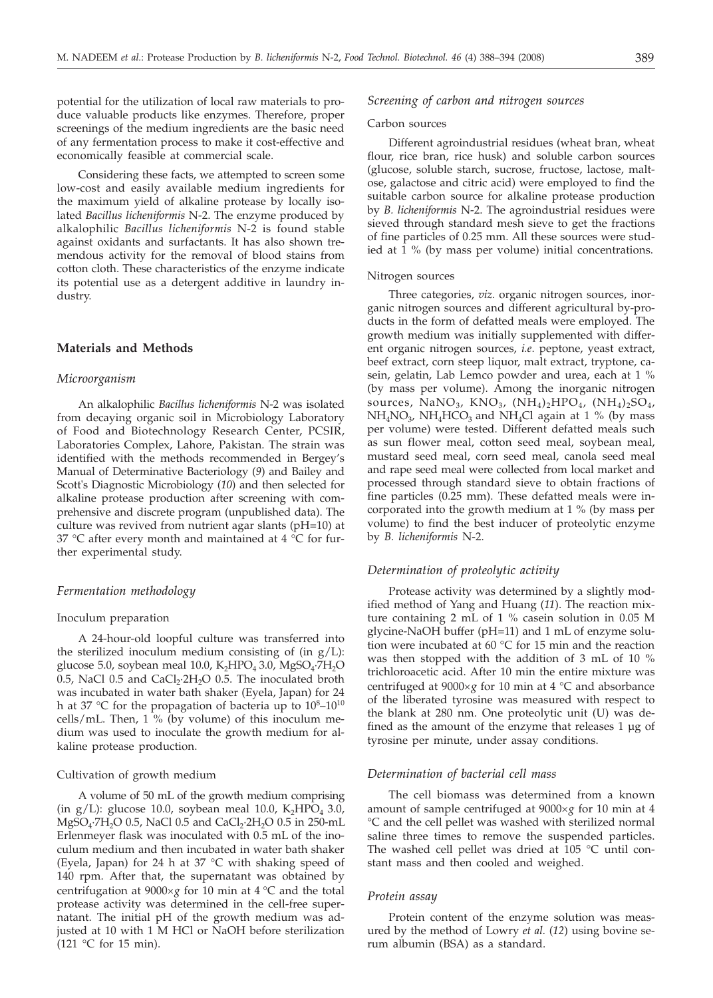potential for the utilization of local raw materials to produce valuable products like enzymes. Therefore, proper screenings of the medium ingredients are the basic need of any fermentation process to make it cost-effective and economically feasible at commercial scale.

Considering these facts, we attempted to screen some low-cost and easily available medium ingredients for the maximum yield of alkaline protease by locally isolated *Bacillus licheniformis* N-2. The enzyme produced by alkalophilic *Bacillus licheniformis* N-2 is found stable against oxidants and surfactants. It has also shown tremendous activity for the removal of blood stains from cotton cloth. These characteristics of the enzyme indicate its potential use as a detergent additive in laundry industry.

### **Materials and Methods**

### *Microorganism*

An alkalophilic *Bacillus licheniformis* N-2 was isolated from decaying organic soil in Microbiology Laboratory of Food and Biotechnology Research Center, PCSIR, Laboratories Complex, Lahore, Pakistan. The strain was identified with the methods recommended in Bergey's Manual of Determinative Bacteriology (*9*) and Bailey and Scott's Diagnostic Microbiology (*10*) and then selected for alkaline protease production after screening with comprehensive and discrete program (unpublished data). The culture was revived from nutrient agar slants (pH=10) at 37 °C after every month and maintained at 4 °C for further experimental study.

### *Fermentation methodology*

## Inoculum preparation

A 24-hour-old loopful culture was transferred into the sterilized inoculum medium consisting of (in  $g/L$ ): glucose 5.0, soybean meal 10.0,  $K_2HPO_4$  3.0,  $MgSO_4$ ·7 $H_2O$ 0.5, NaCl 0.5 and  $CaCl<sub>2</sub>·2H<sub>2</sub>O$  0.5. The inoculated broth was incubated in water bath shaker (Eyela, Japan) for 24 h at 37 °C for the propagation of bacteria up to  $10^8$ – $10^{10}$ cells/mL. Then,  $1\%$  (by volume) of this inoculum medium was used to inoculate the growth medium for alkaline protease production.

### Cultivation of growth medium

A volume of 50 mL of the growth medium comprising (in g/L): glucose 10.0, soybean meal 10.0,  $K_2HPO_4$  3.0,  $MgSO_4$ ·7H<sub>2</sub>O 0.5, NaCl 0.5 and CaCl<sub>2</sub>·2H<sub>2</sub>O 0.5 in 250-mL Erlenmeyer flask was inoculated with 0.5 mL of the inoculum medium and then incubated in water bath shaker (Eyela, Japan) for 24 h at 37 °C with shaking speed of 140 rpm. After that, the supernatant was obtained by centrifugation at  $9000 \times g$  for 10 min at 4 °C and the total protease activity was determined in the cell-free supernatant. The initial pH of the growth medium was adjusted at 10 with 1 M HCl or NaOH before sterilization (121 °C for 15 min).

# *Screening of carbon and nitrogen sources*

## Carbon sources

Different agroindustrial residues (wheat bran, wheat flour, rice bran, rice husk) and soluble carbon sources (glucose, soluble starch, sucrose, fructose, lactose, maltose, galactose and citric acid) were employed to find the suitable carbon source for alkaline protease production by *B. licheniformis* N-2. The agroindustrial residues were sieved through standard mesh sieve to get the fractions of fine particles of 0.25 mm. All these sources were studied at 1 % (by mass per volume) initial concentrations.

## Nitrogen sources

Three categories, *viz*. organic nitrogen sources, inorganic nitrogen sources and different agricultural by-products in the form of defatted meals were employed. The growth medium was initially supplemented with different organic nitrogen sources, *i.e*. peptone, yeast extract, beef extract, corn steep liquor, malt extract, tryptone, casein, gelatin, Lab Lemco powder and urea, each at 1 % (by mass per volume). Among the inorganic nitrogen sources,  $\overline{NaNO_{3}}$ ,  $\overline{KNO_{3}}$ ,  $(\overline{NH_4})_2\overline{HPO_{4}}$ ,  $(\overline{NH_4})_2\overline{SO_{4}}$ ,  $NH_4NO_3$ ,  $NH_4HCO_3$  and  $NH_4Cl$  again at 1 % (by mass per volume) were tested. Different defatted meals such as sun flower meal, cotton seed meal, soybean meal, mustard seed meal, corn seed meal, canola seed meal and rape seed meal were collected from local market and processed through standard sieve to obtain fractions of fine particles (0.25 mm). These defatted meals were incorporated into the growth medium at 1 % (by mass per volume) to find the best inducer of proteolytic enzyme by *B. licheniformis* N-2.

### *Determination of proteolytic activity*

Protease activity was determined by a slightly modified method of Yang and Huang (*11*). The reaction mixture containing 2 mL of 1 % casein solution in 0.05 M glycine-NaOH buffer (pH=11) and 1 mL of enzyme solution were incubated at 60 °C for 15 min and the reaction was then stopped with the addition of 3 mL of 10 % trichloroacetic acid. After 10 min the entire mixture was centrifuged at 9000´*<sup>g</sup>* for 10 min at 4 °C and absorbance of the liberated tyrosine was measured with respect to the blank at 280 nm. One proteolytic unit (U) was defined as the amount of the enzyme that releases 1 μg of tyrosine per minute, under assay conditions.

#### *Determination of bacterial cell mass*

The cell biomass was determined from a known amount of sample centrifuged at 9000×g for 10 min at 4 °C and the cell pellet was washed with sterilized normal saline three times to remove the suspended particles. The washed cell pellet was dried at  $105$  °C until constant mass and then cooled and weighed.

#### *Protein assay*

Protein content of the enzyme solution was measured by the method of Lowry *et al.* (*12*) using bovine serum albumin (BSA) as a standard.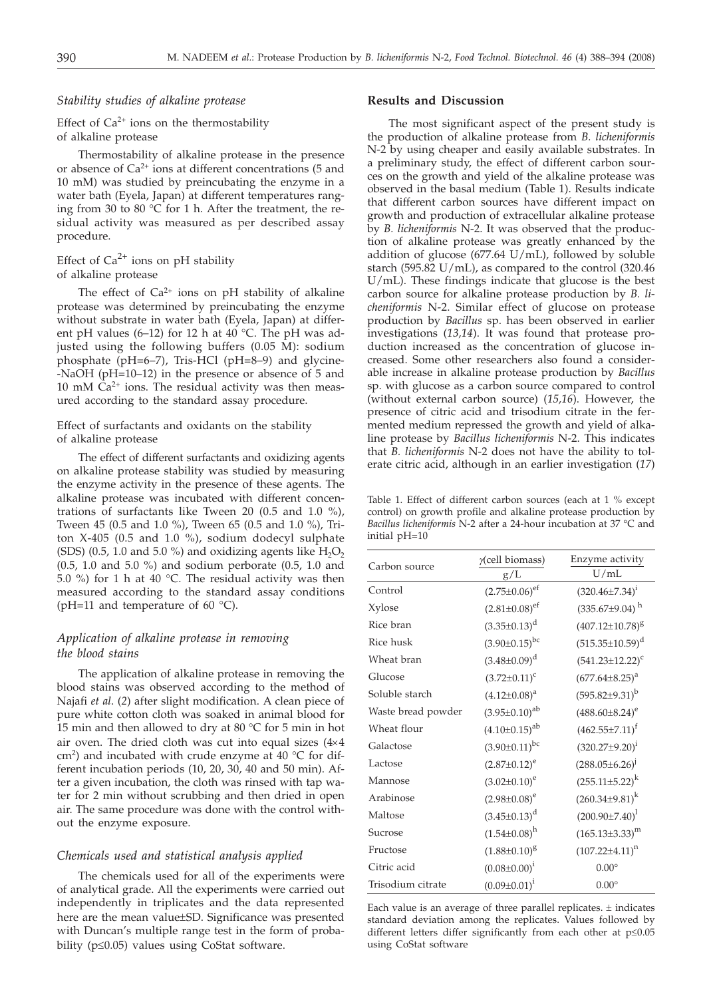## *Stability studies of alkaline protease*

# Effect of  $Ca^{2+}$  ions on the thermostability of alkaline protease

Thermostability of alkaline protease in the presence or absence of  $Ca^{2+}$  ions at different concentrations (5 and 10 mM) was studied by preincubating the enzyme in a water bath (Eyela, Japan) at different temperatures ranging from 30 to 80 °C for 1 h. After the treatment, the residual activity was measured as per described assay procedure.

# Effect of  $Ca^{2+}$  ions on pH stability of alkaline protease

The effect of  $Ca^{2+}$  ions on pH stability of alkaline protease was determined by preincubating the enzyme without substrate in water bath (Eyela, Japan) at different pH values (6–12) for 12 h at 40 °C. The pH was adjusted using the following buffers (0.05 M): sodium phosphate (pH=6–7), Tris-HCl (pH=8–9) and glycine- -NaOH (pH=10–12) in the presence or absence of 5 and 10 mM  $Ca^{2+}$  ions. The residual activity was then measured according to the standard assay procedure.

## Effect of surfactants and oxidants on the stability of alkaline protease

The effect of different surfactants and oxidizing agents on alkaline protease stability was studied by measuring the enzyme activity in the presence of these agents. The alkaline protease was incubated with different concentrations of surfactants like Tween 20 (0.5 and 1.0 %), Tween 45 (0.5 and 1.0 %), Tween 65 (0.5 and 1.0 %), Triton X-405 (0.5 and 1.0 %), sodium dodecyl sulphate (SDS) (0.5, 1.0 and 5.0 %) and oxidizing agents like  $H_2O_2$ (0.5, 1.0 and 5.0 %) and sodium perborate (0.5, 1.0 and 5.0 %) for 1 h at 40 °C. The residual activity was then measured according to the standard assay conditions (pH=11 and temperature of 60  $^{\circ}$ C).

# *Application of alkaline protease in removing the blood stains*

The application of alkaline protease in removing the blood stains was observed according to the method of Najafi *et al*. (*2*) after slight modification. A clean piece of pure white cotton cloth was soaked in animal blood for 15 min and then allowed to dry at 80 °C for 5 min in hot air oven. The dried cloth was cut into equal sizes  $(4\times4)$ cm<sup>2</sup>) and incubated with crude enzyme at 40  $^{\circ}$ C for different incubation periods (10, 20, 30, 40 and 50 min). After a given incubation, the cloth was rinsed with tap water for 2 min without scrubbing and then dried in open air. The same procedure was done with the control without the enzyme exposure.

# *Chemicals used and statistical analysis applied*

The chemicals used for all of the experiments were of analytical grade. All the experiments were carried out independently in triplicates and the data represented here are the mean value±SD. Significance was presented with Duncan's multiple range test in the form of probability ( $p \leq 0.05$ ) values using CoStat software.

## **Results and Discussion**

The most significant aspect of the present study is the production of alkaline protease from *B. licheniformis* N-2 by using cheaper and easily available substrates. In a preliminary study, the effect of different carbon sources on the growth and yield of the alkaline protease was observed in the basal medium (Table 1). Results indicate that different carbon sources have different impact on growth and production of extracellular alkaline protease by *B. licheniformis* N-2. It was observed that the production of alkaline protease was greatly enhanced by the addition of glucose (677.64 U/mL), followed by soluble starch (595.82 U/mL), as compared to the control (320.46 U/mL). These findings indicate that glucose is the best carbon source for alkaline protease production by *B. licheniformis* N-2. Similar effect of glucose on protease production by *Bacillus* sp. has been observed in earlier investigations (*13,14*). It was found that protease production increased as the concentration of glucose increased. Some other researchers also found a considerable increase in alkaline protease production by *Bacillus* sp. with glucose as a carbon source compared to control (without external carbon source) (*15,16*). However, the presence of citric acid and trisodium citrate in the fermented medium repressed the growth and yield of alkaline protease by *Bacillus licheniformis* N-2. This indicates that *B. licheniformis* N-2 does not have the ability to tolerate citric acid, although in an earlier investigation (*17*)

Table 1. Effect of different carbon sources (each at 1 % except control) on growth profile and alkaline protease production by *Bacillus licheniformis* N-2 after a 24-hour incubation at 37 °C and initial pH=10

| Carbon source      | $y$ (cell biomass)          | Enzyme activity         |
|--------------------|-----------------------------|-------------------------|
|                    | g/L                         | U/mL                    |
| Control            | $(2.75 \pm 0.06)^{\rm ef}$  | $(320.46 \pm 7.34)^1$   |
| Xylose             | $(2.81 \pm 0.08)^{\rm e f}$ | $(335.67 \pm 9.04)^h$   |
| Rice bran          | $(3.35 \pm 0.13)^d$         | $(407.12{\pm}10.78)^8$  |
| Rice husk          | $(3.90 \pm 0.15)^{bc}$      | $(515.35 \pm 10.59)^d$  |
| Wheat bran         | $(3.48 \pm 0.09)^d$         | $(541.23 \pm 12.22)^c$  |
| Glucose            | $(3.72 \pm 0.11)^c$         | $(677.64 \pm 8.25)^a$   |
| Soluble starch     | $(4.12 \pm 0.08)^a$         | $(595.82 \pm 9.31)^b$   |
| Waste bread powder | $(3.95 \pm 0.10)^{ab}$      | $(488.60\pm8.24)^e$     |
| Wheat flour        | $(4.10\pm0.15)^{ab}$        | $(462.55 \pm 7.11)^f$   |
| Galactose          | $(3.90 \pm 0.11)^{bc}$      | $(320.27 \pm 9.20)^i$   |
| Lactose            | $(2.87 \pm 0.12)^e$         | $(288.05 \pm 6.26)^{j}$ |
| Mannose            | $(3.02 \pm 0.10)^e$         | $(255.11 \pm 5.22)^k$   |
| Arabinose          | $(2.98 \pm 0.08)^e$         | $(260.34\pm9.81)^k$     |
| Maltose            | $(3.45 \pm 0.13)^d$         | $(200.90 \pm 7.40)^1$   |
| Sucrose            | $(1.54 \pm 0.08)^h$         | $(165.13\pm3.33)^m$     |
| Fructose           | $(1.88 \pm 0.10)^8$         | $(107.22 \pm 4.11)^n$   |
| Citric acid        | $(0.08 \pm 0.00)^{i}$       | $0.00^\circ$            |
| Trisodium citrate  | $(0.09 \pm 0.01)^1$         | $0.00^\circ$            |
|                    |                             |                         |

Each value is an average of three parallel replicates.  $\pm$  indicates standard deviation among the replicates. Values followed by different letters differ significantly from each other at  $p \le 0.05$ using CoStat software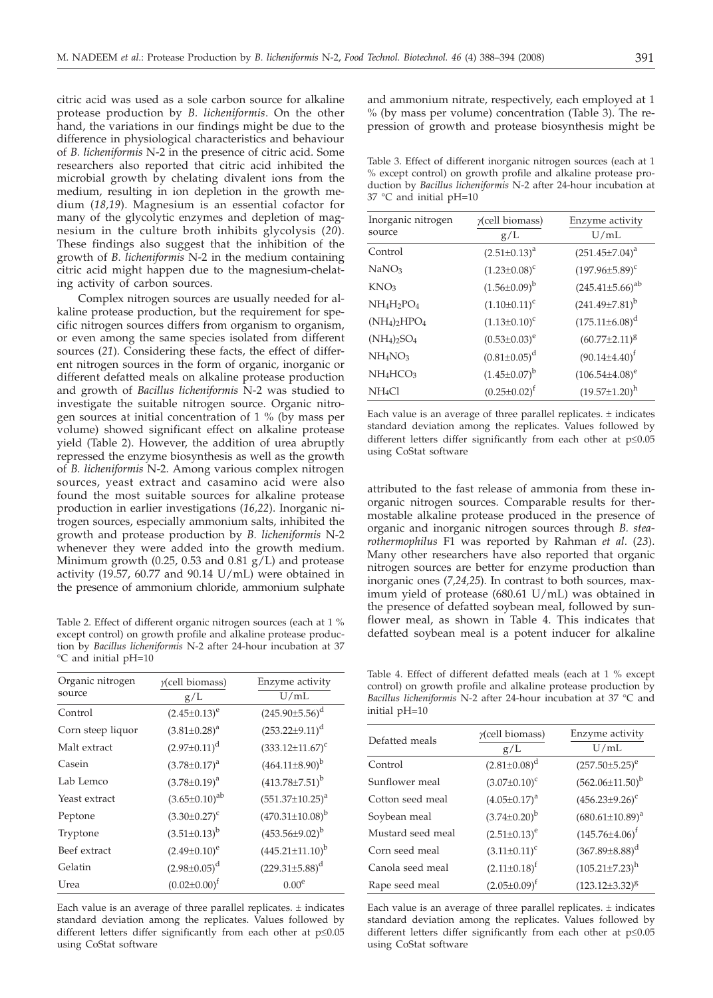citric acid was used as a sole carbon source for alkaline protease production by *B. licheniformis*. On the other hand, the variations in our findings might be due to the difference in physiological characteristics and behaviour of *B. licheniformis* N-2 in the presence of citric acid. Some researchers also reported that citric acid inhibited the microbial growth by chelating divalent ions from the medium, resulting in ion depletion in the growth medium (*18,19*). Magnesium is an essential cofactor for many of the glycolytic enzymes and depletion of magnesium in the culture broth inhibits glycolysis (*20*). These findings also suggest that the inhibition of the growth of *B. licheniformis* N-2 in the medium containing citric acid might happen due to the magnesium-chelating activity of carbon sources.

Complex nitrogen sources are usually needed for alkaline protease production, but the requirement for specific nitrogen sources differs from organism to organism, or even among the same species isolated from different sources (*21*). Considering these facts, the effect of different nitrogen sources in the form of organic, inorganic or different defatted meals on alkaline protease production and growth of *Bacillus licheniformis* N-2 was studied to investigate the suitable nitrogen source. Organic nitrogen sources at initial concentration of 1 % (by mass per volume) showed significant effect on alkaline protease yield (Table 2). However, the addition of urea abruptly repressed the enzyme biosynthesis as well as the growth of *B. licheniformis* N-2. Among various complex nitrogen sources, yeast extract and casamino acid were also found the most suitable sources for alkaline protease production in earlier investigations (*16,22*). Inorganic nitrogen sources, especially ammonium salts, inhibited the growth and protease production by *B. licheniformis* N-2 whenever they were added into the growth medium. Minimum growth (0.25, 0.53 and 0.81  $g/L$ ) and protease activity (19.57, 60.77 and 90.14  $U/mL$ ) were obtained in the presence of ammonium chloride, ammonium sulphate

Table 2. Effect of different organic nitrogen sources (each at 1 % except control) on growth profile and alkaline protease production by *Bacillus licheniformis* N-2 after 24-hour incubation at 37 °C and initial pH=10

| $y$ (cell biomass)     | Enzyme activity          |
|------------------------|--------------------------|
| g/L                    | U/mL                     |
| $(2.45 \pm 0.13)^e$    | $(245.90\pm5.56)^d$      |
| $(3.81 \pm 0.28)^a$    | $(253.22 \pm 9.11)^d$    |
| $(2.97 \pm 0.11)^d$    | $(333.12 \pm 11.67)^c$   |
| $(3.78 \pm 0.17)^a$    | $(464.11\pm8.90)^{b}$    |
| $(3.78 \pm 0.19)^a$    | $(413.78 \pm 7.51)^b$    |
| $(3.65 \pm 0.10)^{ab}$ | $(551.37 \pm 10.25)^a$   |
| $(3.30 \pm 0.27)^c$    | $(470.31 \pm 10.08)^{b}$ |
| $(3.51 \pm 0.13)^{b}$  | $(453.56\pm9.02)^b$      |
| $(2.49 \pm 0.10)^e$    | $(445.21 \pm 11.10)^b$   |
| $(2.98 \pm 0.05)^d$    | $(229.31\pm5.88)^d$      |
| $(0.02 \pm 0.00)^t$    | 0.00 <sup>e</sup>        |
|                        |                          |

Each value is an average of three parallel replicates.  $\pm$  indicates standard deviation among the replicates. Values followed by different letters differ significantly from each other at  $p \le 0.05$ using CoStat software

and ammonium nitrate, respectively, each employed at 1 % (by mass per volume) concentration (Table 3). The repression of growth and protease biosynthesis might be

Table 3. Effect of different inorganic nitrogen sources (each at 1 % except control) on growth profile and alkaline protease production by *Bacillus licheniformis* N-2 after 24-hour incubation at 37 °C and initial pH=10

| Inorganic nitrogen                             | $y$ (cell biomass)    | Enzyme activity        |
|------------------------------------------------|-----------------------|------------------------|
| source                                         | g/L                   | U/mL                   |
| Control                                        | $(2.51 \pm 0.13)^a$   | $(251.45 \pm 7.04)^a$  |
| NaNO <sub>3</sub>                              | $(1.23 \pm 0.08)^c$   | $(197.96 \pm 5.89)^c$  |
| KNO3                                           | $(1.56 \pm 0.09)^{b}$ | $(245.41\pm5.66)^{ab}$ |
| NH <sub>4</sub> H <sub>2</sub> PO <sub>4</sub> | $(1.10\pm0.11)^{c}$   | $(241.49 \pm 7.81)^b$  |
| $(NH_4)_2HPO_4$                                | $(1.13\pm0.10)^c$     | $(175.11 \pm 6.08)^d$  |
| $(NH_4)_2SO_4$                                 | $(0.53 \pm 0.03)^e$   | $(60.77 \pm 2.11)^8$   |
| NH <sub>4</sub> NO <sub>3</sub>                | $(0.81 \pm 0.05)^d$   | $(90.14 \pm 4.40)^f$   |
| NH <sub>4</sub> HCO <sub>3</sub>               | $(1.45 \pm 0.07)^{b}$ | $(106.54 \pm 4.08)^e$  |
| NH <sub>4</sub> Cl                             | $(0.25 \pm 0.02)^f$   | $(19.57 \pm 1.20)^h$   |
|                                                |                       |                        |

Each value is an average of three parallel replicates. ± indicates standard deviation among the replicates. Values followed by different letters differ significantly from each other at  $p \le 0.05$ using CoStat software

attributed to the fast release of ammonia from these inorganic nitrogen sources. Comparable results for thermostable alkaline protease produced in the presence of organic and inorganic nitrogen sources through *B. stearothermophilus* F1 was reported by Rahman *et al*. (*23*). Many other researchers have also reported that organic nitrogen sources are better for enzyme production than inorganic ones (*7,24,25*). In contrast to both sources, maximum yield of protease (680.61 U/mL) was obtained in the presence of defatted soybean meal, followed by sunflower meal, as shown in Table 4. This indicates that defatted soybean meal is a potent inducer for alkaline

Table 4. Effect of different defatted meals (each at 1 % except control) on growth profile and alkaline protease production by *Bacillus licheniformis* N-2 after 24-hour incubation at 37 °C and initial pH=10

| Defatted meals    | $\gamma$ (cell biomass)<br>g/L | Enzyme activity<br>U/mL |
|-------------------|--------------------------------|-------------------------|
| Control           | $(2.81 \pm 0.08)^d$            | $(257.50 \pm 5.25)^e$   |
| Sunflower meal    | $(3.07 \pm 0.10)^c$            | $(562.06 \pm 11.50)^b$  |
| Cotton seed meal  | $(4.05 \pm 0.17)^a$            | $(456.23 \pm 9.26)^c$   |
| Soybean meal      | $(3.74 \pm 0.20)^{b}$          | $(680.61 \pm 10.89)^a$  |
| Mustard seed meal | $(2.51 \pm 0.13)^e$            | $(145.76 \pm 4.06)^t$   |
| Corn seed meal    | $(3.11 \pm 0.11)^c$            | $(367.89 \pm 8.88)^d$   |
| Canola seed meal  | $(2.11 \pm 0.18)^f$            | $(105.21 \pm 7.23)^h$   |
| Rape seed meal    | $(2.05 \pm 0.09)^t$            | $(123.12 \pm 3.32)^8$   |
|                   |                                |                         |

Each value is an average of three parallel replicates.  $\pm$  indicates standard deviation among the replicates. Values followed by different letters differ significantly from each other at  $p \le 0.05$ using CoStat software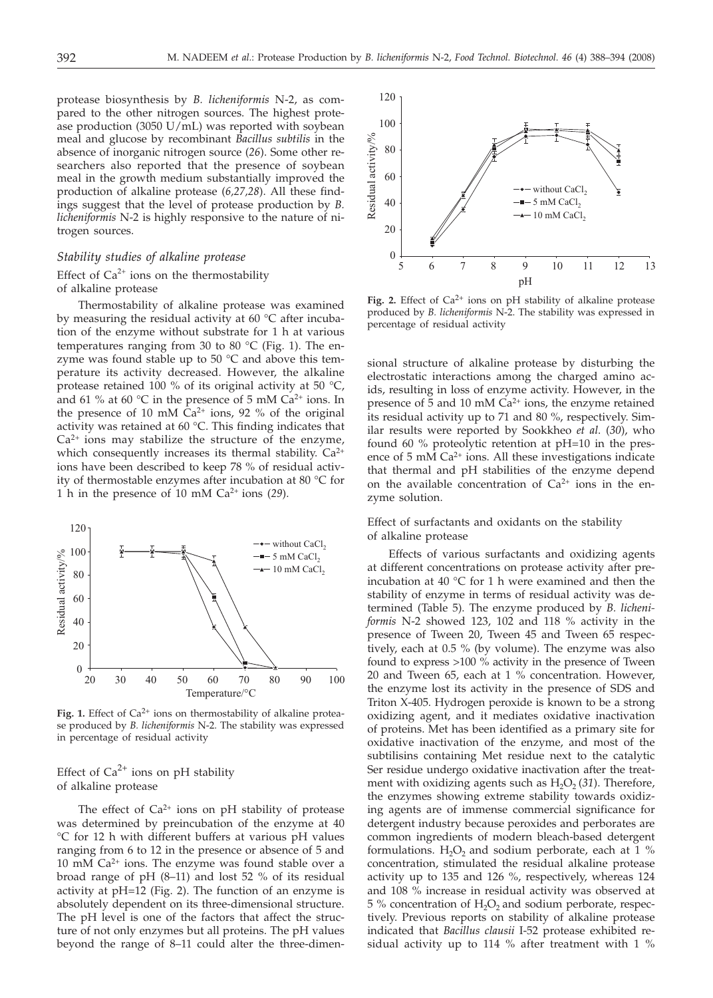protease biosynthesis by *B. licheniformis* N-2, as compared to the other nitrogen sources. The highest protease production (3050 U/mL) was reported with soybean meal and glucose by recombinant *Bacillus subtilis* in the absence of inorganic nitrogen source (*26*). Some other researchers also reported that the presence of soybean meal in the growth medium substantially improved the production of alkaline protease (*6,27,28*). All these findings suggest that the level of protease production by *B. licheniformis* N-2 is highly responsive to the nature of nitrogen sources.

## *Stability studies of alkaline protease*

# Effect of  $Ca^{2+}$  ions on the thermostability of alkaline protease

Thermostability of alkaline protease was examined by measuring the residual activity at 60 $\degree$ C after incubation of the enzyme without substrate for 1 h at various temperatures ranging from 30 to 80 °C (Fig. 1). The enzyme was found stable up to  $50^{\circ}$ C and above this temperature its activity decreased. However, the alkaline protease retained 100 % of its original activity at 50 °C, and 61 % at 60  $\degree$ C in the presence of 5 mM Ca<sup>2+</sup> ions. In the presence of 10 mM  $\tilde{C}a^{2+}$  ions, 92 % of the original activity was retained at 60 °C. This finding indicates that  $Ca<sup>2+</sup>$  ions may stabilize the structure of the enzyme, which consequently increases its thermal stability.  $Ca^{2+}$ ions have been described to keep 78 % of residual activity of thermostable enzymes after incubation at 80 °C for 1 h in the presence of 10 mM Ca2+ ions (*29*).



Fig. 1. Effect of  $Ca^{2+}$  ions on thermostability of alkaline protease produced by *B. licheniformis* N-2. The stability was expressed in percentage of residual activity

Effect of  $Ca^{2+}$  ions on pH stability of alkaline protease

The effect of  $Ca^{2+}$  ions on pH stability of protease was determined by preincubation of the enzyme at 40 °C for 12 h with different buffers at various pH values ranging from 6 to 12 in the presence or absence of 5 and 10 mM  $Ca^{2+}$  ions. The enzyme was found stable over a broad range of pH (8–11) and lost 52 % of its residual activity at pH=12 (Fig. 2). The function of an enzyme is absolutely dependent on its three-dimensional structure. The pH level is one of the factors that affect the structure of not only enzymes but all proteins. The pH values beyond the range of 8–11 could alter the three-dimen-



Fig. 2. Effect of  $Ca^{2+}$  ions on pH stability of alkaline protease produced by *B. licheniformis* N-2. The stability was expressed in percentage of residual activity

sional structure of alkaline protease by disturbing the electrostatic interactions among the charged amino acids, resulting in loss of enzyme activity. However, in the presence of  $\bar{5}$  and  $10 \text{ mM } Ca^{2+}$  ions, the enzyme retained its residual activity up to 71 and 80 %, respectively. Similar results were reported by Sookkheo *et al*. (*30*), who found 60 % proteolytic retention at pH=10 in the presence of  $5 \text{ mM } Ca^{2+}$  ions. All these investigations indicate that thermal and pH stabilities of the enzyme depend on the available concentration of  $Ca^{2+}$  ions in the enzyme solution.

Effect of surfactants and oxidants on the stability of alkaline protease

Effects of various surfactants and oxidizing agents at different concentrations on protease activity after preincubation at 40 °C for 1 h were examined and then the stability of enzyme in terms of residual activity was determined (Table 5). The enzyme produced by *B. licheniformis* N-2 showed 123, 102 and 118 % activity in the presence of Tween 20, Tween 45 and Tween 65 respectively, each at 0.5 % (by volume). The enzyme was also found to express >100 % activity in the presence of Tween 20 and Tween 65, each at 1 % concentration. However, the enzyme lost its activity in the presence of SDS and Triton X-405. Hydrogen peroxide is known to be a strong oxidizing agent, and it mediates oxidative inactivation of proteins. Met has been identified as a primary site for oxidative inactivation of the enzyme, and most of the subtilisins containing Met residue next to the catalytic Ser residue undergo oxidative inactivation after the treatment with oxidizing agents such as  $H_2O_2(31)$ . Therefore, the enzymes showing extreme stability towards oxidizing agents are of immense commercial significance for detergent industry because peroxides and perborates are common ingredients of modern bleach-based detergent formulations.  $H_2O_2$  and sodium perborate, each at 1 % concentration, stimulated the residual alkaline protease activity up to 135 and 126 %, respectively, whereas 124 and 108 % increase in residual activity was observed at  $5\%$  concentration of  $H_2O_2$  and sodium perborate, respectively. Previous reports on stability of alkaline protease indicated that *Bacillus clausii* I-52 protease exhibited residual activity up to 114 % after treatment with 1 %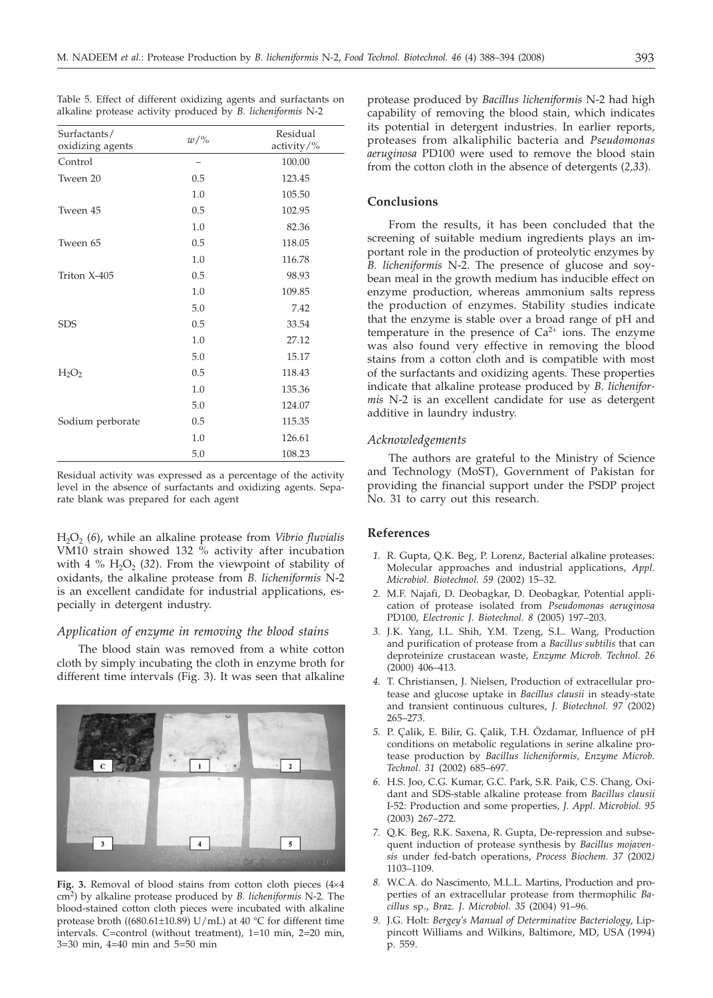Table 5. Effect of different oxidizing agents and surfactants on alkaline protease activity produced by *B. licheniformis* N-2

| Surfactants/<br>oxidizing agents | $w/\%$ | Residual<br>activity/ $\%$ |
|----------------------------------|--------|----------------------------|
| Control                          |        | 100.00                     |
| Tween 20                         | 0.5    | 123.45                     |
|                                  | 1.0    | 105.50                     |
| Tween 45                         | 0.5    | 102.95                     |
|                                  | 1.0    | 82.36                      |
| Tween 65                         | 0.5    | 118.05                     |
|                                  | 1.0    | 116.78                     |
| Triton X-405                     | 0.5    | 98.93                      |
|                                  | 1.0    | 109.85                     |
|                                  | 5.0    | 7.42                       |
| <b>SDS</b>                       | 0.5    | 33.54                      |
|                                  | 1.0    | 27.12                      |
|                                  | 5.0    | 15.17                      |
| H <sub>2</sub> O <sub>2</sub>    | 0.5    | 118.43                     |
|                                  | 1.0    | 135.36                     |
|                                  | 5.0    | 124.07                     |
| Sodium perborate                 | 0.5    | 115.35                     |
|                                  | 1.0    | 126.61                     |
|                                  | 5.0    | 108.23                     |

Residual activity was expressed as a percentage of the activity level in the absence of surfactants and oxidizing agents. Separate blank was prepared for each agent

H2O2 (*6*), while an alkaline protease from *Vibrio fluvialis* VM10 strain showed 132  $\frac{9}{2}$  activity after incubation with 4  $%$  H<sub>2</sub>O<sub>2</sub> (32). From the viewpoint of stability of oxidants, the alkaline protease from *B. licheniformis* N-2 is an excellent candidate for industrial applications, especially in detergent industry.

## *Application of enzyme in removing the blood stains*

The blood stain was removed from a white cotton cloth by simply incubating the cloth in enzyme broth for different time intervals (Fig. 3). It was seen that alkaline



Fig. 3. Removal of blood stains from cotton cloth pieces  $(4\times4)$ cm2) by alkaline protease produced by *B. licheniformis* N-2. The blood-stained cotton cloth pieces were incubated with alkaline protease broth ((680.61±10.89) U/mL) at 40 °C for different time intervals. C=control (without treatment), 1=10 min, 2=20 min, 3=30 min, 4=40 min and 5=50 min

protease produced by *Bacillus licheniformis* N-2 had high capability of removing the blood stain, which indicates its potential in detergent industries. In earlier reports, proteases from alkaliphilic bacteria and *Pseudomonas aeruginosa* PD100 were used to remove the blood stain from the cotton cloth in the absence of detergents (*2,33*).

# **Conclusions**

From the results, it has been concluded that the screening of suitable medium ingredients plays an important role in the production of proteolytic enzymes by *B. licheniformis* N-2. The presence of glucose and soybean meal in the growth medium has inducible effect on enzyme production, whereas ammonium salts repress the production of enzymes. Stability studies indicate that the enzyme is stable over a broad range of pH and temperature in the presence of  $Ca^{2+}$  ions. The enzyme was also found very effective in removing the blood stains from a cotton cloth and is compatible with most of the surfactants and oxidizing agents. These properties indicate that alkaline protease produced by *B. licheniformis* N-2 is an excellent candidate for use as detergent additive in laundry industry.

# *Acknowledgements*

The authors are grateful to the Ministry of Science and Technology (MoST), Government of Pakistan for providing the financial support under the PSDP project No. 31 to carry out this research.

# **References**

- *1.* R. Gupta, Q.K. Beg, P. Lorenz, Bacterial alkaline proteases: Molecular approaches and industrial applications, *Appl. Microbiol. Biotechnol. 59* (2002) 15–32.
- *2.* M.F. Najafi, D. Deobagkar, D. Deobagkar, Potential application of protease isolated from *Pseudomonas aeruginosa* PD100, *Electronic J. Biotechnol*. *8* (2005) 197–203.
- *3.* J.K. Yang, I.L. Shih, Y.M. Tzeng, S.L. Wang, Production and purification of protease from a *Bacillus subtilis* that can deproteinize crustacean waste, *Enzyme Microb. Technol. 26* (2000) 406–413.
- *4.* T. Christiansen, J. Nielsen, Production of extracellular protease and glucose uptake in *Bacillus clausii* in steady-state and transient continuous cultures, *J. Biotechnol. 97* (2002) 265–273.
- *5.* P. Çalik, E. Bilir, G. Çalik, T.H. Özdamar, Influence of pH conditions on metabolic regulations in serine alkaline protease production by *Bacillus licheniformis, Enzyme Microb. Technol. 31* (2002) 685–697.
- *6.* H.S. Joo, C.G. Kumar, G.C. Park, S.R. Paik, C.S. Chang, Oxidant and SDS-stable alkaline protease from *Bacillus clausii* I-52: Production and some properties, *J. Appl. Microbiol. 95* (2003) 267–272.
- *7.* Q.K. Beg, R.K. Saxena, R. Gupta, De-repression and subsequent induction of protease synthesis by *Bacillus mojavensis* under fed-batch operations, *Process Biochem. 37* (2002*)* 1103–1109.
- *8.* W.C.A. do Nascimento, M.L.L. Martins, Production and properties of an extracellular protease from thermophilic *Bacillus* sp., *Braz. J. Microbiol. 35* (2004) 91–96.
- *9.* J.G. Holt: *Bergey's Manual of Determinative Bacteriology*, Lippincott Williams and Wilkins, Baltimore, MD, USA (1994) p. 559.